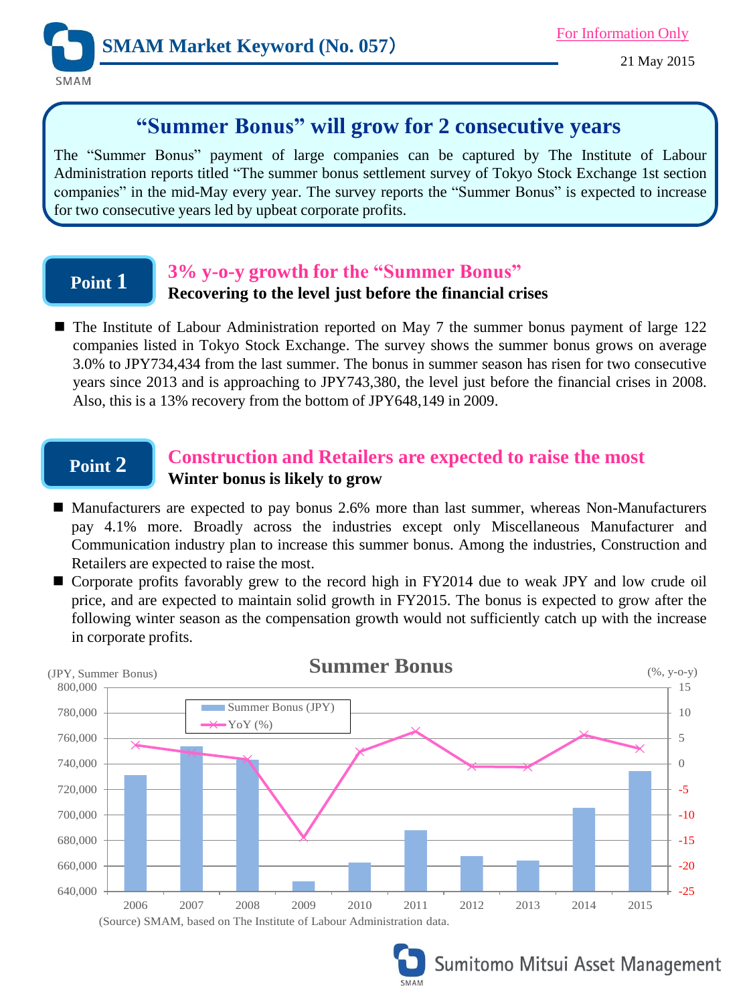

## **"Summer Bonus" will grow for 2 consecutive years**

The "Summer Bonus" payment of large companies can be captured by The Institute of Labour Administration reports titled "The summer bonus settlement survey of Tokyo Stock Exchange 1st section companies" in the mid-May every year. The survey reports the "Summer Bonus" is expected to increase for two consecutive years led by upbeat corporate profits.

## **Point 1**

### **3% y-o-y growth for the "Summer Bonus"**

### **Recovering to the level just before the financial crises**

■ The Institute of Labour Administration reported on May 7 the summer bonus payment of large 122 companies listed in Tokyo Stock Exchange. The survey shows the summer bonus grows on average 3.0% to JPY734,434 from the last summer. The bonus in summer season has risen for two consecutive years since 2013 and is approaching to JPY743,380, the level just before the financial crises in 2008. Also, this is a 13% recovery from the bottom of JPY648,149 in 2009.

### **Point 2**

### **Construction and Retailers are expected to raise the most Winter bonus is likely to grow**

- Manufacturers are expected to pay bonus 2.6% more than last summer, whereas Non-Manufacturers pay 4.1% more. Broadly across the industries except only Miscellaneous Manufacturer and Communication industry plan to increase this summer bonus. Among the industries, Construction and Retailers are expected to raise the most.
- Corporate profits favorably grew to the record high in FY2014 due to weak JPY and low crude oil price, and are expected to maintain solid growth in FY2015. The bonus is expected to grow after the following winter season as the compensation growth would not sufficiently catch up with the increase in corporate profits.





# Sumitomo Mitsui Asset Management